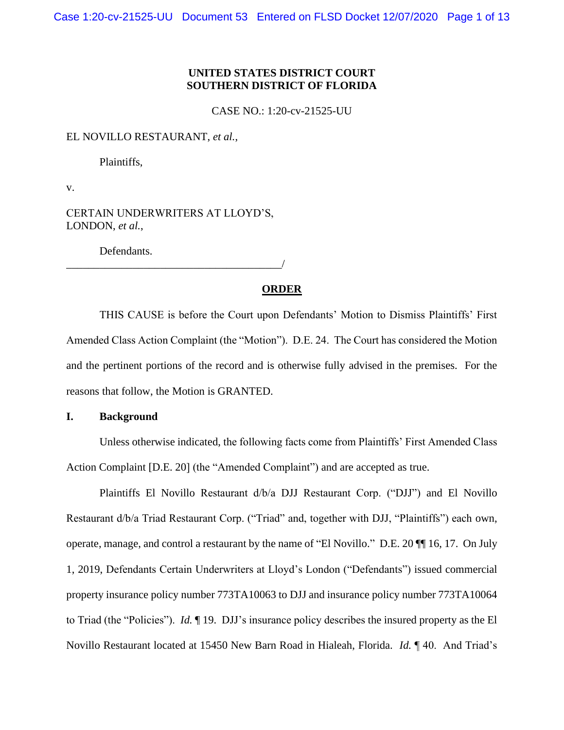# **UNITED STATES DISTRICT COURT SOUTHERN DISTRICT OF FLORIDA**

CASE NO.: 1:20-cv-21525-UU

EL NOVILLO RESTAURANT, *et al.*,

Plaintiffs,

v.

CERTAIN UNDERWRITERS AT LLOYD'S, LONDON, *et al.*,

Defendants.

\_\_\_\_\_\_\_\_\_\_\_\_\_\_\_\_\_\_\_\_\_\_\_\_\_\_\_\_\_\_\_\_\_\_\_\_\_\_\_/

# **ORDER**

THIS CAUSE is before the Court upon Defendants' Motion to Dismiss Plaintiffs' First Amended Class Action Complaint (the "Motion"). D.E. 24. The Court has considered the Motion and the pertinent portions of the record and is otherwise fully advised in the premises. For the reasons that follow, the Motion is GRANTED.

## **I. Background**

Unless otherwise indicated, the following facts come from Plaintiffs' First Amended Class Action Complaint [D.E. 20] (the "Amended Complaint") and are accepted as true.

Plaintiffs El Novillo Restaurant d/b/a DJJ Restaurant Corp. ("DJJ") and El Novillo Restaurant d/b/a Triad Restaurant Corp. ("Triad" and, together with DJJ, "Plaintiffs") each own, operate, manage, and control a restaurant by the name of "El Novillo." D.E. 20 ¶¶ 16, 17. On July 1, 2019, Defendants Certain Underwriters at Lloyd's London ("Defendants") issued commercial property insurance policy number 773TA10063 to DJJ and insurance policy number 773TA10064 to Triad (the "Policies"). *Id.* ¶ 19. DJJ's insurance policy describes the insured property as the El Novillo Restaurant located at 15450 New Barn Road in Hialeah, Florida. *Id.* ¶ 40. And Triad's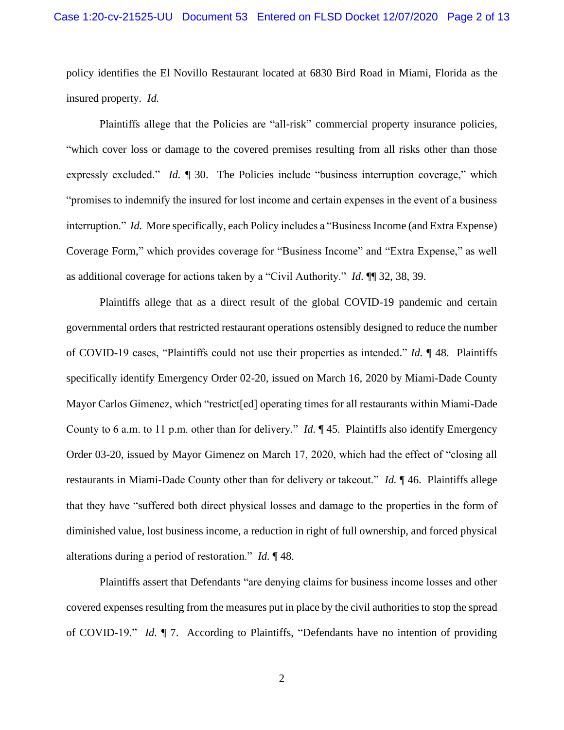policy identifies the El Novillo Restaurant located at 6830 Bird Road in Miami, Florida as the insured property. *Id.*

Plaintiffs allege that the Policies are "all-risk" commercial property insurance policies, "which cover loss or damage to the covered premises resulting from all risks other than those expressly excluded." *Id.* 1 30. The Policies include "business interruption coverage," which "promises to indemnify the insured for lost income and certain expenses in the event of a business interruption." *Id.* More specifically, each Policy includes a "Business Income (and Extra Expense) Coverage Form," which provides coverage for "Business Income" and "Extra Expense," as well as additional coverage for actions taken by a "Civil Authority." *Id*. ¶¶ 32, 38, 39.

Plaintiffs allege that as a direct result of the global COVID-19 pandemic and certain governmental orders that restricted restaurant operations ostensibly designed to reduce the number of COVID-19 cases, "Plaintiffs could not use their properties as intended." *Id.* ¶ 48. Plaintiffs specifically identify Emergency Order 02-20, issued on March 16, 2020 by Miami-Dade County Mayor Carlos Gimenez, which "restrict[ed] operating times for all restaurants within Miami-Dade County to 6 a.m. to 11 p.m. other than for delivery." *Id.* ¶ 45. Plaintiffs also identify Emergency Order 03-20, issued by Mayor Gimenez on March 17, 2020, which had the effect of "closing all restaurants in Miami-Dade County other than for delivery or takeout." *Id.* ¶ 46. Plaintiffs allege that they have "suffered both direct physical losses and damage to the properties in the form of diminished value, lost business income, a reduction in right of full ownership, and forced physical alterations during a period of restoration." *Id.* ¶ 48.

Plaintiffs assert that Defendants "are denying claims for business income losses and other covered expenses resulting from the measures put in place by the civil authorities to stop the spread of COVID-19." *Id.* ¶ 7. According to Plaintiffs, "Defendants have no intention of providing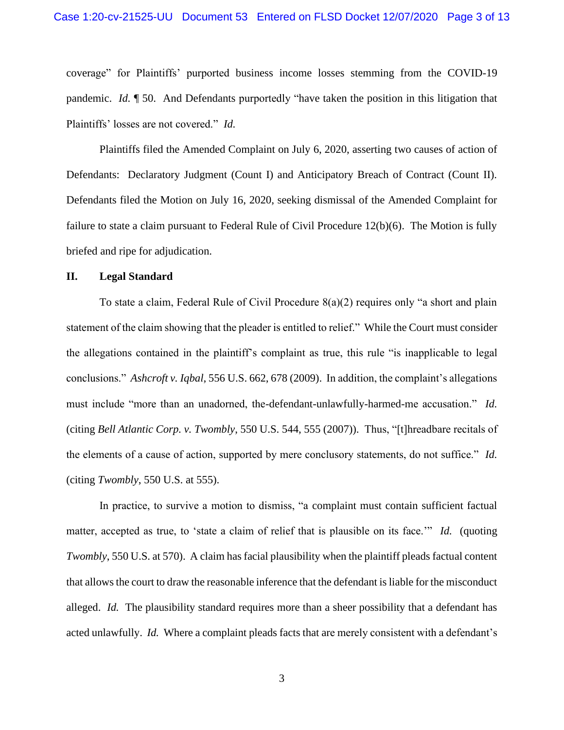coverage" for Plaintiffs' purported business income losses stemming from the COVID-19 pandemic. *Id.* ¶ 50. And Defendants purportedly "have taken the position in this litigation that Plaintiffs' losses are not covered." *Id.*

Plaintiffs filed the Amended Complaint on July 6, 2020, asserting two causes of action of Defendants: Declaratory Judgment (Count I) and Anticipatory Breach of Contract (Count II). Defendants filed the Motion on July 16, 2020, seeking dismissal of the Amended Complaint for failure to state a claim pursuant to Federal Rule of Civil Procedure 12(b)(6). The Motion is fully briefed and ripe for adjudication.

#### **II. Legal Standard**

To state a claim, Federal Rule of Civil Procedure 8(a)(2) requires only "a short and plain statement of the claim showing that the pleader is entitled to relief." While the Court must consider the allegations contained in the plaintiff's complaint as true, this rule "is inapplicable to legal conclusions." *Ashcroft v. Iqbal*, 556 U.S. 662, 678 (2009). In addition, the complaint's allegations must include "more than an unadorned, the-defendant-unlawfully-harmed-me accusation." *Id.* (citing *Bell Atlantic Corp. v. Twombly*, 550 U.S. 544, 555 (2007)). Thus, "[t]hreadbare recitals of the elements of a cause of action, supported by mere conclusory statements, do not suffice." *Id.*  (citing *Twombly*, 550 U.S. at 555).

In practice, to survive a motion to dismiss, "a complaint must contain sufficient factual matter, accepted as true, to 'state a claim of relief that is plausible on its face.'" *Id.* (quoting *Twombly*, 550 U.S. at 570). A claim has facial plausibility when the plaintiff pleads factual content that allows the court to draw the reasonable inference that the defendant is liable for the misconduct alleged. *Id.* The plausibility standard requires more than a sheer possibility that a defendant has acted unlawfully. *Id.* Where a complaint pleads facts that are merely consistent with a defendant's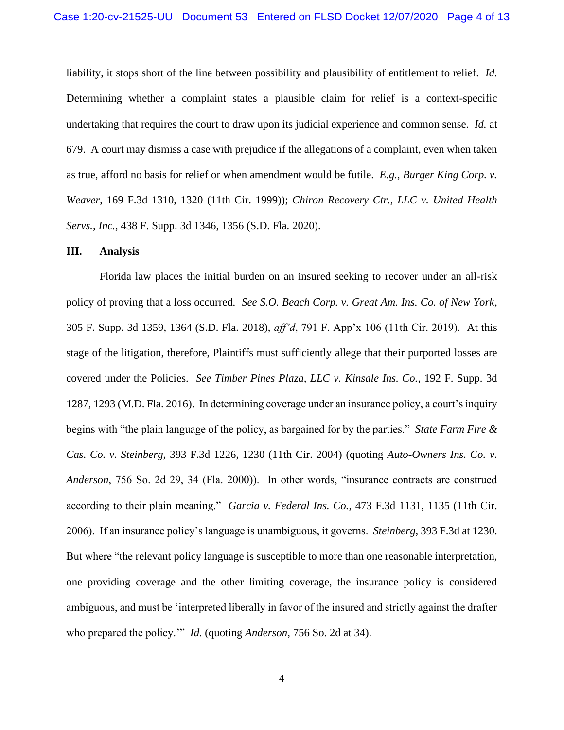liability, it stops short of the line between possibility and plausibility of entitlement to relief. *Id.* Determining whether a complaint states a plausible claim for relief is a context-specific undertaking that requires the court to draw upon its judicial experience and common sense. *Id.* at 679. A court may dismiss a case with prejudice if the allegations of a complaint, even when taken as true, afford no basis for relief or when amendment would be futile. *E.g.*, *Burger King Corp. v. Weaver*, 169 F.3d 1310, 1320 (11th Cir. 1999)); *Chiron Recovery Ctr., LLC v. United Health Servs., Inc.*, 438 F. Supp. 3d 1346, 1356 (S.D. Fla. 2020).

#### **III. Analysis**

Florida law places the initial burden on an insured seeking to recover under an all-risk policy of proving that a loss occurred. *See S.O. Beach Corp. v. Great Am. Ins. Co. of New York*, 305 F. Supp. 3d 1359, 1364 (S.D. Fla. 2018), *aff'd*, 791 F. App'x 106 (11th Cir. 2019). At this stage of the litigation, therefore, Plaintiffs must sufficiently allege that their purported losses are covered under the Policies. *See Timber Pines Plaza, LLC v. Kinsale Ins. Co.*, 192 F. Supp. 3d 1287, 1293 (M.D. Fla. 2016). In determining coverage under an insurance policy, a court's inquiry begins with "the plain language of the policy, as bargained for by the parties." *State Farm Fire & Cas. Co. v. Steinberg*, 393 F.3d 1226, 1230 (11th Cir. 2004) (quoting *Auto-Owners Ins. Co. v. Anderson*, 756 So. 2d 29, 34 (Fla. 2000)). In other words, "insurance contracts are construed according to their plain meaning." *Garcia v. Federal Ins. Co.*, 473 F.3d 1131, 1135 (11th Cir. 2006). If an insurance policy's language is unambiguous, it governs. *Steinberg*, 393 F.3d at 1230. But where "the relevant policy language is susceptible to more than one reasonable interpretation, one providing coverage and the other limiting coverage, the insurance policy is considered ambiguous, and must be 'interpreted liberally in favor of the insured and strictly against the drafter who prepared the policy.'" *Id.* (quoting *Anderson*, 756 So. 2d at 34).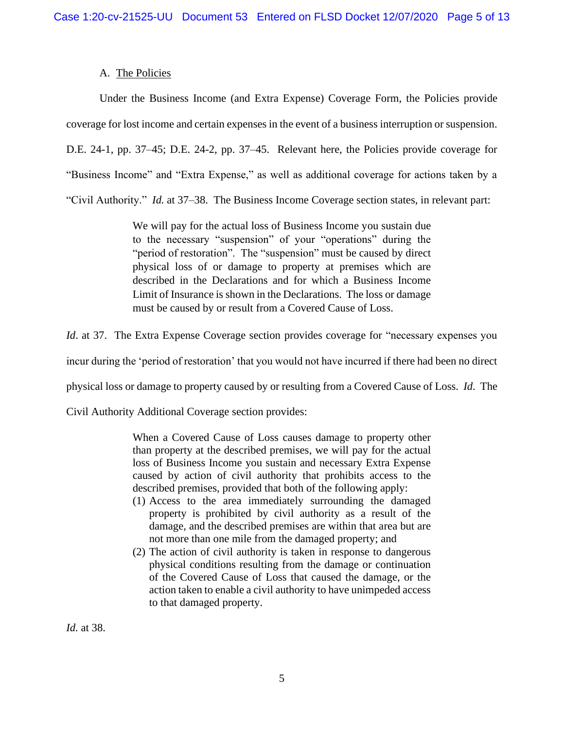# A. The Policies

Under the Business Income (and Extra Expense) Coverage Form, the Policies provide coverage for lost income and certain expenses in the event of a business interruption or suspension. D.E. 24-1, pp. 37–45; D.E. 24-2, pp. 37–45. Relevant here, the Policies provide coverage for "Business Income" and "Extra Expense," as well as additional coverage for actions taken by a "Civil Authority." *Id.* at 37–38. The Business Income Coverage section states, in relevant part:

> We will pay for the actual loss of Business Income you sustain due to the necessary "suspension" of your "operations" during the "period of restoration". The "suspension" must be caused by direct physical loss of or damage to property at premises which are described in the Declarations and for which a Business Income Limit of Insurance is shown in the Declarations. The loss or damage must be caused by or result from a Covered Cause of Loss.

*Id.* at 37. The Extra Expense Coverage section provides coverage for "necessary expenses you

incur during the 'period of restoration' that you would not have incurred if there had been no direct

physical loss or damage to property caused by or resulting from a Covered Cause of Loss. *Id*. The

Civil Authority Additional Coverage section provides:

When a Covered Cause of Loss causes damage to property other than property at the described premises, we will pay for the actual loss of Business Income you sustain and necessary Extra Expense caused by action of civil authority that prohibits access to the described premises, provided that both of the following apply:

- (1) Access to the area immediately surrounding the damaged property is prohibited by civil authority as a result of the damage, and the described premises are within that area but are not more than one mile from the damaged property; and
- (2) The action of civil authority is taken in response to dangerous physical conditions resulting from the damage or continuation of the Covered Cause of Loss that caused the damage, or the action taken to enable a civil authority to have unimpeded access to that damaged property.

*Id.* at 38.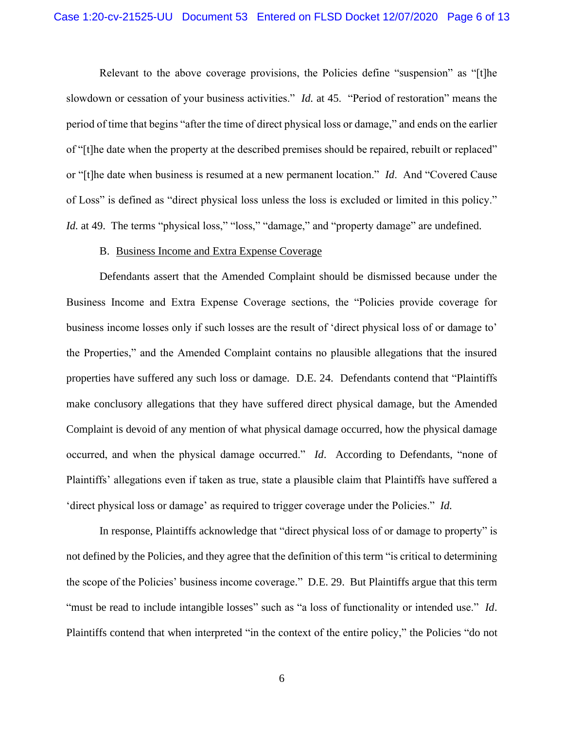Relevant to the above coverage provisions, the Policies define "suspension" as "[t]he slowdown or cessation of your business activities." *Id.* at 45. "Period of restoration" means the period of time that begins "after the time of direct physical loss or damage," and ends on the earlier of "[t]he date when the property at the described premises should be repaired, rebuilt or replaced" or "[t]he date when business is resumed at a new permanent location." *Id*. And "Covered Cause of Loss" is defined as "direct physical loss unless the loss is excluded or limited in this policy." *Id.* at 49. The terms "physical loss," "loss," "damage," and "property damage" are undefined.

#### B. Business Income and Extra Expense Coverage

Defendants assert that the Amended Complaint should be dismissed because under the Business Income and Extra Expense Coverage sections, the "Policies provide coverage for business income losses only if such losses are the result of 'direct physical loss of or damage to' the Properties," and the Amended Complaint contains no plausible allegations that the insured properties have suffered any such loss or damage. D.E. 24. Defendants contend that "Plaintiffs make conclusory allegations that they have suffered direct physical damage, but the Amended Complaint is devoid of any mention of what physical damage occurred, how the physical damage occurred, and when the physical damage occurred." *Id*. According to Defendants, "none of Plaintiffs' allegations even if taken as true, state a plausible claim that Plaintiffs have suffered a 'direct physical loss or damage' as required to trigger coverage under the Policies." *Id.*

In response, Plaintiffs acknowledge that "direct physical loss of or damage to property" is not defined by the Policies, and they agree that the definition of this term "is critical to determining the scope of the Policies' business income coverage." D.E. 29. But Plaintiffs argue that this term "must be read to include intangible losses" such as "a loss of functionality or intended use." *Id*. Plaintiffs contend that when interpreted "in the context of the entire policy," the Policies "do not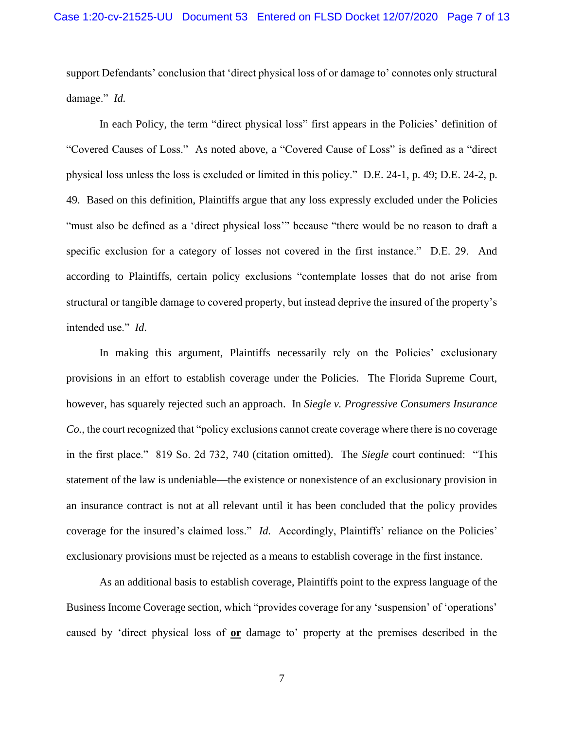support Defendants' conclusion that 'direct physical loss of or damage to' connotes only structural damage." *Id.*

In each Policy, the term "direct physical loss" first appears in the Policies' definition of "Covered Causes of Loss." As noted above, a "Covered Cause of Loss" is defined as a "direct physical loss unless the loss is excluded or limited in this policy." D.E. 24-1, p. 49; D.E. 24-2, p. 49. Based on this definition, Plaintiffs argue that any loss expressly excluded under the Policies "must also be defined as a 'direct physical loss'" because "there would be no reason to draft a specific exclusion for a category of losses not covered in the first instance." D.E. 29. And according to Plaintiffs, certain policy exclusions "contemplate losses that do not arise from structural or tangible damage to covered property, but instead deprive the insured of the property's intended use." *Id*.

In making this argument, Plaintiffs necessarily rely on the Policies' exclusionary provisions in an effort to establish coverage under the Policies. The Florida Supreme Court, however, has squarely rejected such an approach. In *Siegle v. Progressive Consumers Insurance Co.*, the court recognized that "policy exclusions cannot create coverage where there is no coverage in the first place." 819 So. 2d 732, 740 (citation omitted). The *Siegle* court continued: "This statement of the law is undeniable—the existence or nonexistence of an exclusionary provision in an insurance contract is not at all relevant until it has been concluded that the policy provides coverage for the insured's claimed loss." *Id.* Accordingly, Plaintiffs' reliance on the Policies' exclusionary provisions must be rejected as a means to establish coverage in the first instance.

As an additional basis to establish coverage, Plaintiffs point to the express language of the Business Income Coverage section, which "provides coverage for any 'suspension' of 'operations' caused by 'direct physical loss of **or** damage to' property at the premises described in the

7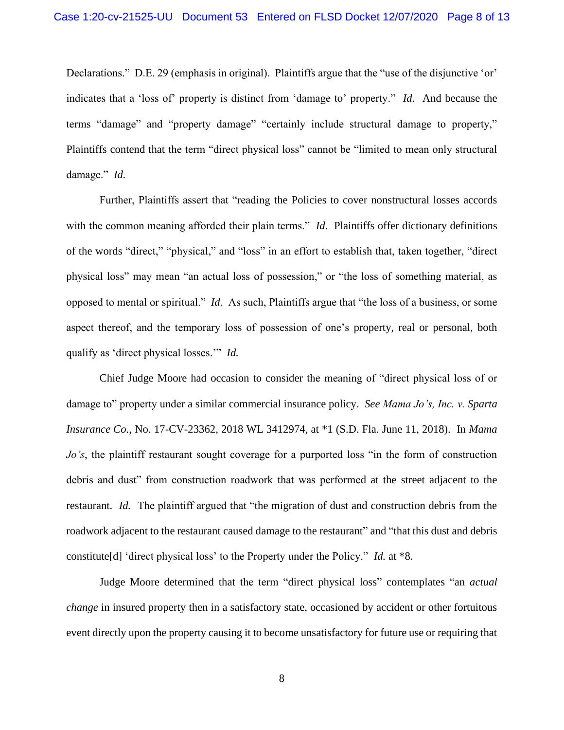Declarations." D.E. 29 (emphasis in original). Plaintiffs argue that the "use of the disjunctive 'or' indicates that a 'loss of' property is distinct from 'damage to' property." *Id*. And because the terms "damage" and "property damage" "certainly include structural damage to property," Plaintiffs contend that the term "direct physical loss" cannot be "limited to mean only structural damage." *Id.*

Further, Plaintiffs assert that "reading the Policies to cover nonstructural losses accords with the common meaning afforded their plain terms." *Id*. Plaintiffs offer dictionary definitions of the words "direct," "physical," and "loss" in an effort to establish that, taken together, "direct physical loss" may mean "an actual loss of possession," or "the loss of something material, as opposed to mental or spiritual." *Id*. As such, Plaintiffs argue that "the loss of a business, or some aspect thereof, and the temporary loss of possession of one's property, real or personal, both qualify as 'direct physical losses.'" *Id.*

Chief Judge Moore had occasion to consider the meaning of "direct physical loss of or damage to" property under a similar commercial insurance policy. *See Mama Jo's, Inc. v. Sparta Insurance Co.*, No. 17-CV-23362, 2018 WL 3412974, at \*1 (S.D. Fla. June 11, 2018). In *Mama Jo's*, the plaintiff restaurant sought coverage for a purported loss "in the form of construction debris and dust" from construction roadwork that was performed at the street adjacent to the restaurant. *Id.* The plaintiff argued that "the migration of dust and construction debris from the roadwork adjacent to the restaurant caused damage to the restaurant" and "that this dust and debris constitute[d] 'direct physical loss' to the Property under the Policy." *Id.* at \*8.

Judge Moore determined that the term "direct physical loss" contemplates "an *actual change* in insured property then in a satisfactory state, occasioned by accident or other fortuitous event directly upon the property causing it to become unsatisfactory for future use or requiring that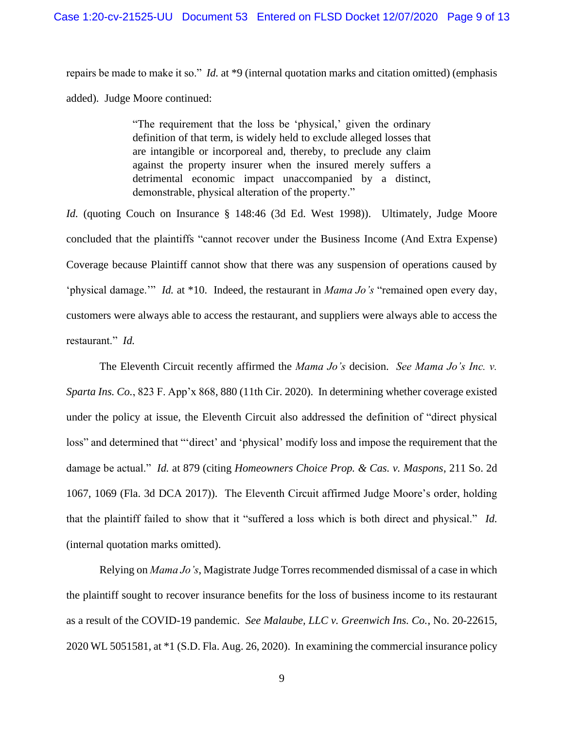repairs be made to make it so." *Id.* at \*9 (internal quotation marks and citation omitted) (emphasis added). Judge Moore continued:

> "The requirement that the loss be 'physical,' given the ordinary definition of that term, is widely held to exclude alleged losses that are intangible or incorporeal and, thereby, to preclude any claim against the property insurer when the insured merely suffers a detrimental economic impact unaccompanied by a distinct, demonstrable, physical alteration of the property."

*Id.* (quoting Couch on Insurance § 148:46 (3d Ed. West 1998)). Ultimately, Judge Moore concluded that the plaintiffs "cannot recover under the Business Income (And Extra Expense) Coverage because Plaintiff cannot show that there was any suspension of operations caused by 'physical damage.'" *Id.* at \*10. Indeed, the restaurant in *Mama Jo's* "remained open every day, customers were always able to access the restaurant, and suppliers were always able to access the restaurant." *Id.*

The Eleventh Circuit recently affirmed the *Mama Jo's* decision. *See Mama Jo's Inc. v. Sparta Ins. Co.*, 823 F. App'x 868, 880 (11th Cir. 2020). In determining whether coverage existed under the policy at issue, the Eleventh Circuit also addressed the definition of "direct physical loss" and determined that "'direct' and 'physical' modify loss and impose the requirement that the damage be actual." *Id.* at 879 (citing *Homeowners Choice Prop. & Cas. v. Maspons*, 211 So. 2d 1067, 1069 (Fla. 3d DCA 2017)). The Eleventh Circuit affirmed Judge Moore's order, holding that the plaintiff failed to show that it "suffered a loss which is both direct and physical." *Id.* (internal quotation marks omitted).

Relying on *Mama Jo's*, Magistrate Judge Torres recommended dismissal of a case in which the plaintiff sought to recover insurance benefits for the loss of business income to its restaurant as a result of the COVID-19 pandemic. *See Malaube, LLC v. Greenwich Ins. Co.*, No. 20-22615, 2020 WL 5051581, at \*1 (S.D. Fla. Aug. 26, 2020). In examining the commercial insurance policy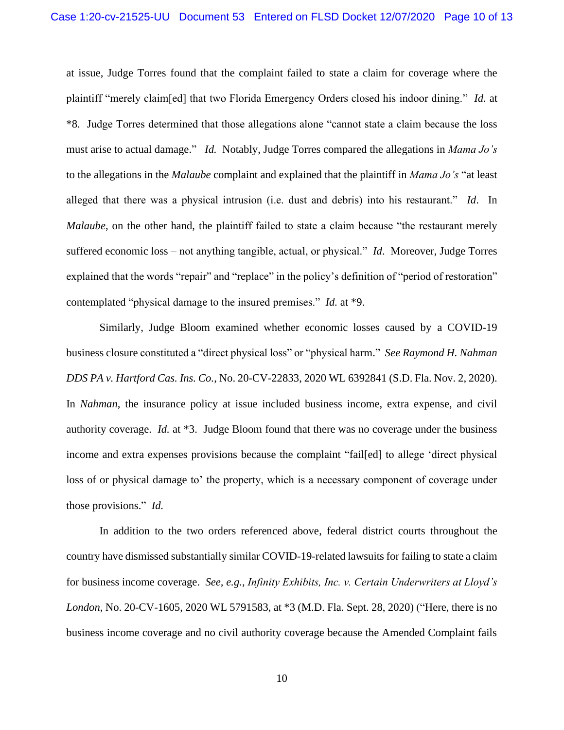at issue, Judge Torres found that the complaint failed to state a claim for coverage where the plaintiff "merely claim[ed] that two Florida Emergency Orders closed his indoor dining." *Id.* at \*8. Judge Torres determined that those allegations alone "cannot state a claim because the loss must arise to actual damage." *Id.* Notably, Judge Torres compared the allegations in *Mama Jo's* to the allegations in the *Malaube* complaint and explained that the plaintiff in *Mama Jo's* "at least alleged that there was a physical intrusion (i.e. dust and debris) into his restaurant." *Id*. In *Malaube*, on the other hand, the plaintiff failed to state a claim because "the restaurant merely suffered economic loss – not anything tangible, actual, or physical." *Id*. Moreover, Judge Torres explained that the words "repair" and "replace" in the policy's definition of "period of restoration" contemplated "physical damage to the insured premises." *Id.* at \*9.

Similarly, Judge Bloom examined whether economic losses caused by a COVID-19 business closure constituted a "direct physical loss" or "physical harm." *See Raymond H. Nahman DDS PA v. Hartford Cas. Ins. Co.*, No. 20-CV-22833, 2020 WL 6392841 (S.D. Fla. Nov. 2, 2020). In *Nahman*, the insurance policy at issue included business income, extra expense, and civil authority coverage. *Id.* at \*3. Judge Bloom found that there was no coverage under the business income and extra expenses provisions because the complaint "fail[ed] to allege 'direct physical loss of or physical damage to' the property, which is a necessary component of coverage under those provisions." *Id.*

In addition to the two orders referenced above, federal district courts throughout the country have dismissed substantially similar COVID-19-related lawsuits for failing to state a claim for business income coverage. *See, e.g.*, *Infinity Exhibits, Inc. v. Certain Underwriters at Lloyd's London*, No. 20-CV-1605, 2020 WL 5791583, at \*3 (M.D. Fla. Sept. 28, 2020) ("Here, there is no business income coverage and no civil authority coverage because the Amended Complaint fails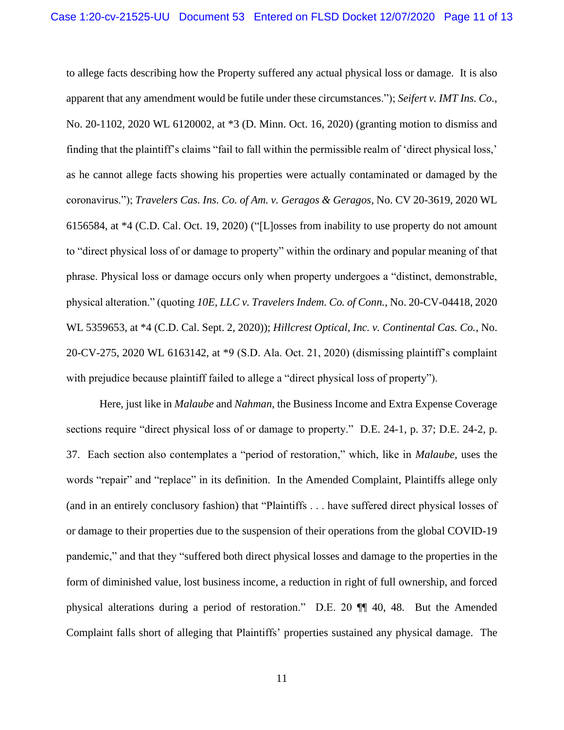to allege facts describing how the Property suffered any actual physical loss or damage. It is also apparent that any amendment would be futile under these circumstances."); *Seifert v. IMT Ins. Co.*, No. 20-1102, 2020 WL 6120002, at \*3 (D. Minn. Oct. 16, 2020) (granting motion to dismiss and finding that the plaintiff's claims "fail to fall within the permissible realm of 'direct physical loss,' as he cannot allege facts showing his properties were actually contaminated or damaged by the coronavirus."); *Travelers Cas. Ins. Co. of Am. v. Geragos & Geragos*, No. CV 20-3619, 2020 WL 6156584, at \*4 (C.D. Cal. Oct. 19, 2020) ("[L]osses from inability to use property do not amount to "direct physical loss of or damage to property" within the ordinary and popular meaning of that phrase. Physical loss or damage occurs only when property undergoes a "distinct, demonstrable, physical alteration." (quoting *10E, LLC v. Travelers Indem. Co. of Conn.*, No. 20-CV-04418, 2020 WL 5359653, at \*4 (C.D. Cal. Sept. 2, 2020)); *Hillcrest Optical, Inc. v. Continental Cas. Co.*, No. 20-CV-275, 2020 WL 6163142, at \*9 (S.D. Ala. Oct. 21, 2020) (dismissing plaintiff's complaint with prejudice because plaintiff failed to allege a "direct physical loss of property").

Here, just like in *Malaube* and *Nahman*, the Business Income and Extra Expense Coverage sections require "direct physical loss of or damage to property." D.E. 24-1, p. 37; D.E. 24-2, p. 37. Each section also contemplates a "period of restoration," which, like in *Malaube*, uses the words "repair" and "replace" in its definition. In the Amended Complaint, Plaintiffs allege only (and in an entirely conclusory fashion) that "Plaintiffs . . . have suffered direct physical losses of or damage to their properties due to the suspension of their operations from the global COVID-19 pandemic," and that they "suffered both direct physical losses and damage to the properties in the form of diminished value, lost business income, a reduction in right of full ownership, and forced physical alterations during a period of restoration." D.E. 20 ¶¶ 40, 48. But the Amended Complaint falls short of alleging that Plaintiffs' properties sustained any physical damage. The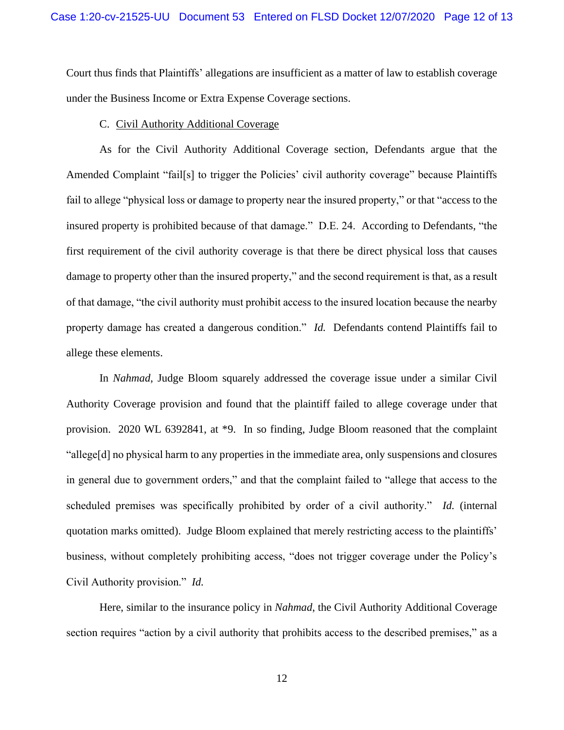Court thus finds that Plaintiffs' allegations are insufficient as a matter of law to establish coverage under the Business Income or Extra Expense Coverage sections.

#### C. Civil Authority Additional Coverage

As for the Civil Authority Additional Coverage section, Defendants argue that the Amended Complaint "fail[s] to trigger the Policies' civil authority coverage" because Plaintiffs fail to allege "physical loss or damage to property near the insured property," or that "access to the insured property is prohibited because of that damage." D.E. 24. According to Defendants, "the first requirement of the civil authority coverage is that there be direct physical loss that causes damage to property other than the insured property," and the second requirement is that, as a result of that damage, "the civil authority must prohibit access to the insured location because the nearby property damage has created a dangerous condition." *Id.* Defendants contend Plaintiffs fail to allege these elements.

In *Nahmad*, Judge Bloom squarely addressed the coverage issue under a similar Civil Authority Coverage provision and found that the plaintiff failed to allege coverage under that provision. 2020 WL 6392841, at \*9. In so finding, Judge Bloom reasoned that the complaint "allege[d] no physical harm to any properties in the immediate area, only suspensions and closures in general due to government orders," and that the complaint failed to "allege that access to the scheduled premises was specifically prohibited by order of a civil authority." *Id.* (internal quotation marks omitted). Judge Bloom explained that merely restricting access to the plaintiffs' business, without completely prohibiting access, "does not trigger coverage under the Policy's Civil Authority provision." *Id.*

Here, similar to the insurance policy in *Nahmad*, the Civil Authority Additional Coverage section requires "action by a civil authority that prohibits access to the described premises," as a